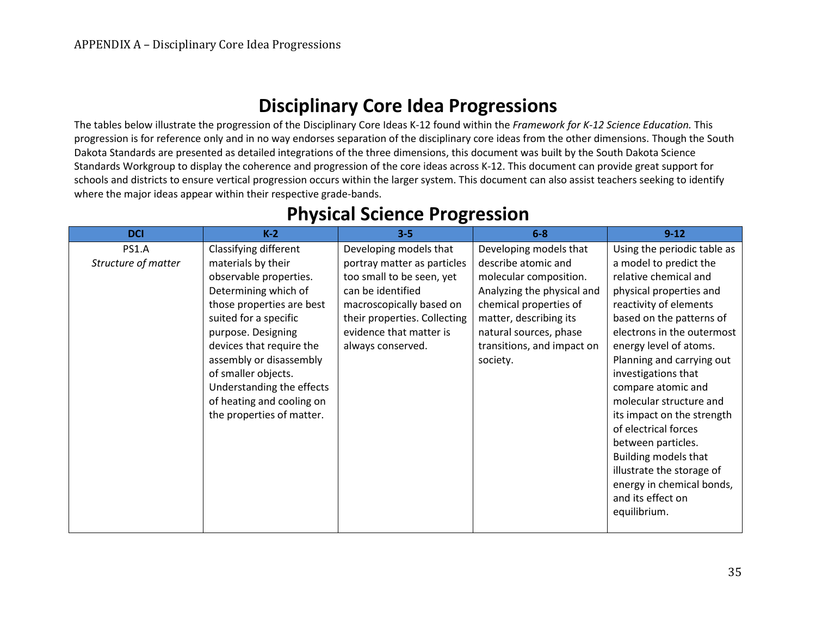### **Disciplinary Core Idea Progressions**

The tables below illustrate the progression of the Disciplinary Core Ideas K-12 found within the *Framework for K-12 Science Education.* This progression is for reference only and in no way endorses separation of the disciplinary core ideas from the other dimensions. Though the South Dakota Standards are presented as detailed integrations of the three dimensions, this document was built by the South Dakota Science Standards Workgroup to display the coherence and progression of the core ideas across K-12. This document can provide great support for schools and districts to ensure vertical progression occurs within the larger system. This document can also assist teachers seeking to identify where the major ideas appear within their respective grade-bands.

| <b>DCI</b>          | $K-2$                     | $3 - 5$                      | $6-8$                      | $9 - 12$                    |
|---------------------|---------------------------|------------------------------|----------------------------|-----------------------------|
| <b>PS1.A</b>        | Classifying different     | Developing models that       | Developing models that     | Using the periodic table as |
| Structure of matter | materials by their        | portray matter as particles  | describe atomic and        | a model to predict the      |
|                     | observable properties.    | too small to be seen, yet    | molecular composition.     | relative chemical and       |
|                     | Determining which of      | can be identified            | Analyzing the physical and | physical properties and     |
|                     | those properties are best | macroscopically based on     | chemical properties of     | reactivity of elements      |
|                     | suited for a specific     | their properties. Collecting | matter, describing its     | based on the patterns of    |
|                     | purpose. Designing        | evidence that matter is      | natural sources, phase     | electrons in the outermost  |
|                     | devices that require the  | always conserved.            | transitions, and impact on | energy level of atoms.      |
|                     | assembly or disassembly   |                              | society.                   | Planning and carrying out   |
|                     | of smaller objects.       |                              |                            | investigations that         |
|                     | Understanding the effects |                              |                            | compare atomic and          |
|                     | of heating and cooling on |                              |                            | molecular structure and     |
|                     | the properties of matter. |                              |                            | its impact on the strength  |
|                     |                           |                              |                            | of electrical forces        |
|                     |                           |                              |                            | between particles.          |
|                     |                           |                              |                            | Building models that        |
|                     |                           |                              |                            | illustrate the storage of   |
|                     |                           |                              |                            | energy in chemical bonds,   |
|                     |                           |                              |                            | and its effect on           |
|                     |                           |                              |                            | equilibrium.                |
|                     |                           |                              |                            |                             |

### **Physical Science Progression**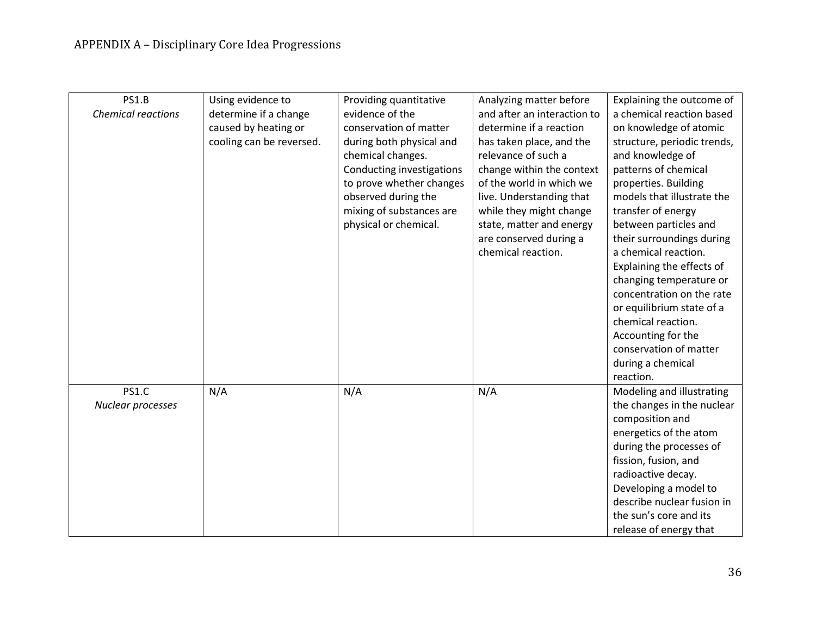| <b>PS1.B</b><br><b>Chemical reactions</b> | Using evidence to<br>determine if a change<br>caused by heating or<br>cooling can be reversed. | Providing quantitative<br>evidence of the<br>conservation of matter<br>during both physical and<br>chemical changes.<br>Conducting investigations<br>to prove whether changes<br>observed during the<br>mixing of substances are<br>physical or chemical. | Analyzing matter before<br>and after an interaction to<br>determine if a reaction<br>has taken place, and the<br>relevance of such a<br>change within the context<br>of the world in which we<br>live. Understanding that<br>while they might change<br>state, matter and energy<br>are conserved during a<br>chemical reaction. | Explaining the outcome of<br>a chemical reaction based<br>on knowledge of atomic<br>structure, periodic trends,<br>and knowledge of<br>patterns of chemical<br>properties. Building<br>models that illustrate the<br>transfer of energy<br>between particles and<br>their surroundings during<br>a chemical reaction.<br>Explaining the effects of<br>changing temperature or<br>concentration on the rate<br>or equilibrium state of a<br>chemical reaction.<br>Accounting for the<br>conservation of matter<br>during a chemical<br>reaction. |
|-------------------------------------------|------------------------------------------------------------------------------------------------|-----------------------------------------------------------------------------------------------------------------------------------------------------------------------------------------------------------------------------------------------------------|----------------------------------------------------------------------------------------------------------------------------------------------------------------------------------------------------------------------------------------------------------------------------------------------------------------------------------|-------------------------------------------------------------------------------------------------------------------------------------------------------------------------------------------------------------------------------------------------------------------------------------------------------------------------------------------------------------------------------------------------------------------------------------------------------------------------------------------------------------------------------------------------|
|                                           |                                                                                                |                                                                                                                                                                                                                                                           |                                                                                                                                                                                                                                                                                                                                  |                                                                                                                                                                                                                                                                                                                                                                                                                                                                                                                                                 |
| <b>PS1.C</b>                              | N/A                                                                                            | N/A                                                                                                                                                                                                                                                       | N/A                                                                                                                                                                                                                                                                                                                              | Modeling and illustrating                                                                                                                                                                                                                                                                                                                                                                                                                                                                                                                       |
| Nuclear processes                         |                                                                                                |                                                                                                                                                                                                                                                           |                                                                                                                                                                                                                                                                                                                                  | the changes in the nuclear<br>composition and                                                                                                                                                                                                                                                                                                                                                                                                                                                                                                   |
|                                           |                                                                                                |                                                                                                                                                                                                                                                           |                                                                                                                                                                                                                                                                                                                                  | energetics of the atom                                                                                                                                                                                                                                                                                                                                                                                                                                                                                                                          |
|                                           |                                                                                                |                                                                                                                                                                                                                                                           |                                                                                                                                                                                                                                                                                                                                  | during the processes of                                                                                                                                                                                                                                                                                                                                                                                                                                                                                                                         |
|                                           |                                                                                                |                                                                                                                                                                                                                                                           |                                                                                                                                                                                                                                                                                                                                  | fission, fusion, and                                                                                                                                                                                                                                                                                                                                                                                                                                                                                                                            |
|                                           |                                                                                                |                                                                                                                                                                                                                                                           |                                                                                                                                                                                                                                                                                                                                  | radioactive decay.                                                                                                                                                                                                                                                                                                                                                                                                                                                                                                                              |
|                                           |                                                                                                |                                                                                                                                                                                                                                                           |                                                                                                                                                                                                                                                                                                                                  | Developing a model to                                                                                                                                                                                                                                                                                                                                                                                                                                                                                                                           |
|                                           |                                                                                                |                                                                                                                                                                                                                                                           |                                                                                                                                                                                                                                                                                                                                  | describe nuclear fusion in                                                                                                                                                                                                                                                                                                                                                                                                                                                                                                                      |
|                                           |                                                                                                |                                                                                                                                                                                                                                                           |                                                                                                                                                                                                                                                                                                                                  | the sun's core and its                                                                                                                                                                                                                                                                                                                                                                                                                                                                                                                          |
|                                           |                                                                                                |                                                                                                                                                                                                                                                           |                                                                                                                                                                                                                                                                                                                                  | release of energy that                                                                                                                                                                                                                                                                                                                                                                                                                                                                                                                          |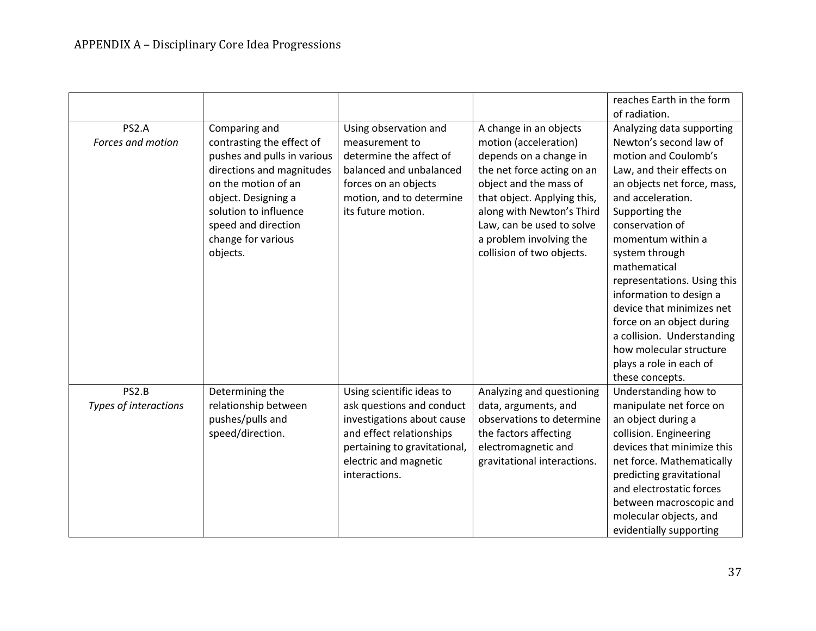|                                |                                                                                                                                                                                                                                        |                                                                                                                                                                                            |                                                                                                                                                                                                                                                                                    | reaches Earth in the form                                                                                                                                                                                                                                                                                                                                                                                                                                                           |
|--------------------------------|----------------------------------------------------------------------------------------------------------------------------------------------------------------------------------------------------------------------------------------|--------------------------------------------------------------------------------------------------------------------------------------------------------------------------------------------|------------------------------------------------------------------------------------------------------------------------------------------------------------------------------------------------------------------------------------------------------------------------------------|-------------------------------------------------------------------------------------------------------------------------------------------------------------------------------------------------------------------------------------------------------------------------------------------------------------------------------------------------------------------------------------------------------------------------------------------------------------------------------------|
|                                |                                                                                                                                                                                                                                        |                                                                                                                                                                                            |                                                                                                                                                                                                                                                                                    | of radiation.                                                                                                                                                                                                                                                                                                                                                                                                                                                                       |
| PS2.A<br>Forces and motion     | Comparing and<br>contrasting the effect of<br>pushes and pulls in various<br>directions and magnitudes<br>on the motion of an<br>object. Designing a<br>solution to influence<br>speed and direction<br>change for various<br>objects. | Using observation and<br>measurement to<br>determine the affect of<br>balanced and unbalanced<br>forces on an objects<br>motion, and to determine<br>its future motion.                    | A change in an objects<br>motion (acceleration)<br>depends on a change in<br>the net force acting on an<br>object and the mass of<br>that object. Applying this,<br>along with Newton's Third<br>Law, can be used to solve<br>a problem involving the<br>collision of two objects. | Analyzing data supporting<br>Newton's second law of<br>motion and Coulomb's<br>Law, and their effects on<br>an objects net force, mass,<br>and acceleration.<br>Supporting the<br>conservation of<br>momentum within a<br>system through<br>mathematical<br>representations. Using this<br>information to design a<br>device that minimizes net<br>force on an object during<br>a collision. Understanding<br>how molecular structure<br>plays a role in each of<br>these concepts. |
| PS2.B<br>Types of interactions | Determining the<br>relationship between<br>pushes/pulls and<br>speed/direction.                                                                                                                                                        | Using scientific ideas to<br>ask questions and conduct<br>investigations about cause<br>and effect relationships<br>pertaining to gravitational,<br>electric and magnetic<br>interactions. | Analyzing and questioning<br>data, arguments, and<br>observations to determine<br>the factors affecting<br>electromagnetic and<br>gravitational interactions.                                                                                                                      | Understanding how to<br>manipulate net force on<br>an object during a<br>collision. Engineering<br>devices that minimize this<br>net force. Mathematically<br>predicting gravitational<br>and electrostatic forces<br>between macroscopic and<br>molecular objects, and<br>evidentially supporting                                                                                                                                                                                  |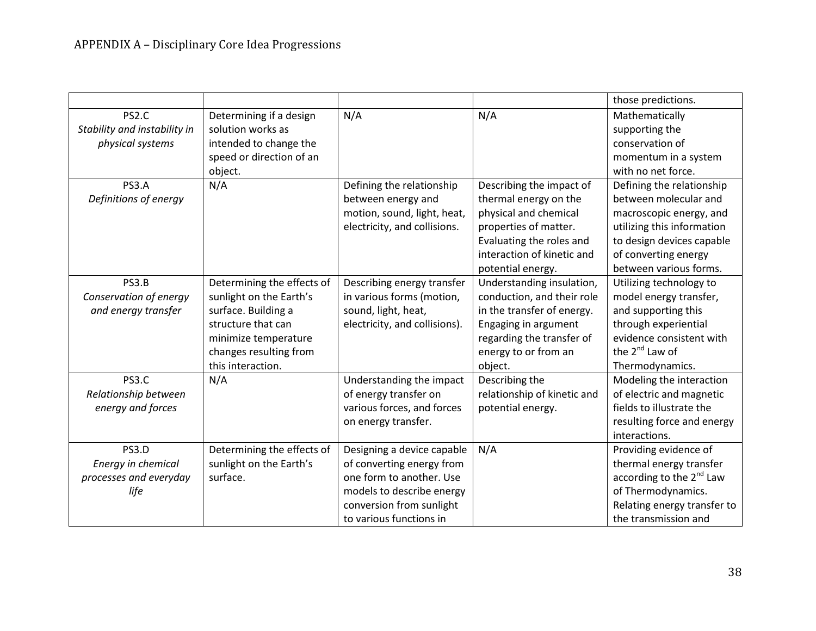|                              |                            |                               |                             | those predictions.                   |
|------------------------------|----------------------------|-------------------------------|-----------------------------|--------------------------------------|
| PS2.C                        | Determining if a design    | N/A                           | N/A                         | Mathematically                       |
| Stability and instability in | solution works as          |                               |                             | supporting the                       |
| physical systems             | intended to change the     |                               |                             | conservation of                      |
|                              | speed or direction of an   |                               |                             | momentum in a system                 |
|                              | object.                    |                               |                             | with no net force.                   |
| PS3.A                        | N/A                        | Defining the relationship     | Describing the impact of    | Defining the relationship            |
| Definitions of energy        |                            | between energy and            | thermal energy on the       | between molecular and                |
|                              |                            | motion, sound, light, heat,   | physical and chemical       | macroscopic energy, and              |
|                              |                            | electricity, and collisions.  | properties of matter.       | utilizing this information           |
|                              |                            |                               | Evaluating the roles and    | to design devices capable            |
|                              |                            |                               | interaction of kinetic and  | of converting energy                 |
|                              |                            |                               | potential energy.           | between various forms.               |
| PS3.B                        | Determining the effects of | Describing energy transfer    | Understanding insulation,   | Utilizing technology to              |
| Conservation of energy       | sunlight on the Earth's    | in various forms (motion,     | conduction, and their role  | model energy transfer,               |
| and energy transfer          | surface. Building a        | sound, light, heat,           | in the transfer of energy.  | and supporting this                  |
|                              | structure that can         | electricity, and collisions). | Engaging in argument        | through experiential                 |
|                              | minimize temperature       |                               | regarding the transfer of   | evidence consistent with             |
|                              | changes resulting from     |                               | energy to or from an        | the $2^{nd}$ Law of                  |
|                              | this interaction.          |                               | object.                     | Thermodynamics.                      |
| PS3.C                        | N/A                        | Understanding the impact      | Describing the              | Modeling the interaction             |
| Relationship between         |                            | of energy transfer on         | relationship of kinetic and | of electric and magnetic             |
| energy and forces            |                            | various forces, and forces    | potential energy.           | fields to illustrate the             |
|                              |                            | on energy transfer.           |                             | resulting force and energy           |
|                              |                            |                               |                             | interactions.                        |
| PS3.D                        | Determining the effects of | Designing a device capable    | N/A                         | Providing evidence of                |
| Energy in chemical           | sunlight on the Earth's    | of converting energy from     |                             | thermal energy transfer              |
| processes and everyday       | surface.                   | one form to another. Use      |                             | according to the 2 <sup>nd</sup> Law |
| life                         |                            | models to describe energy     |                             | of Thermodynamics.                   |
|                              |                            | conversion from sunlight      |                             | Relating energy transfer to          |
|                              |                            | to various functions in       |                             | the transmission and                 |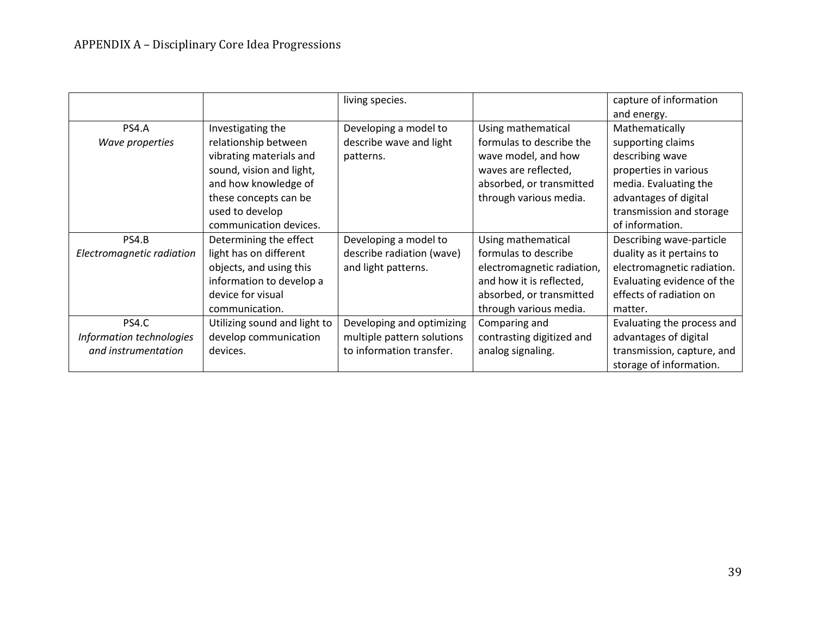|                           |                              | living species.            |                            | capture of information     |
|---------------------------|------------------------------|----------------------------|----------------------------|----------------------------|
|                           |                              |                            |                            | and energy.                |
| PS4.A                     | Investigating the            | Developing a model to      | Using mathematical         | Mathematically             |
| Wave properties           | relationship between         | describe wave and light    | formulas to describe the   | supporting claims          |
|                           | vibrating materials and      | patterns.                  | wave model, and how        | describing wave            |
|                           | sound, vision and light,     |                            | waves are reflected,       | properties in various      |
|                           | and how knowledge of         |                            | absorbed, or transmitted   | media. Evaluating the      |
|                           | these concepts can be        |                            | through various media.     | advantages of digital      |
|                           | used to develop              |                            |                            | transmission and storage   |
|                           | communication devices.       |                            |                            | of information.            |
| PS4.B                     | Determining the effect       | Developing a model to      | Using mathematical         | Describing wave-particle   |
| Electromagnetic radiation | light has on different       | describe radiation (wave)  | formulas to describe       | duality as it pertains to  |
|                           | objects, and using this      | and light patterns.        | electromagnetic radiation, | electromagnetic radiation. |
|                           | information to develop a     |                            | and how it is reflected,   | Evaluating evidence of the |
|                           | device for visual            |                            | absorbed, or transmitted   | effects of radiation on    |
|                           | communication.               |                            | through various media.     | matter.                    |
| PS4.C                     | Utilizing sound and light to | Developing and optimizing  | Comparing and              | Evaluating the process and |
| Information technologies  | develop communication        | multiple pattern solutions | contrasting digitized and  | advantages of digital      |
| and instrumentation       | devices.                     | to information transfer.   | analog signaling.          | transmission, capture, and |
|                           |                              |                            |                            | storage of information.    |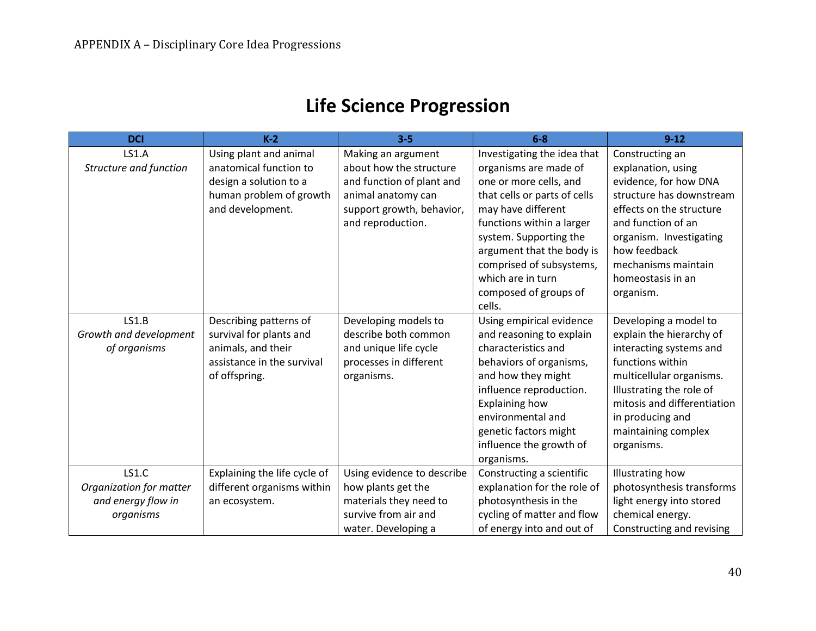# **Life Science Progression**

| <b>DCI</b>              | $K-2$                        | $3 - 5$                    | $6 - 8$                      | $9 - 12$                    |
|-------------------------|------------------------------|----------------------------|------------------------------|-----------------------------|
| <b>LS1.A</b>            | Using plant and animal       | Making an argument         | Investigating the idea that  | Constructing an             |
| Structure and function  | anatomical function to       | about how the structure    | organisms are made of        | explanation, using          |
|                         | design a solution to a       | and function of plant and  | one or more cells, and       | evidence, for how DNA       |
|                         | human problem of growth      | animal anatomy can         | that cells or parts of cells | structure has downstream    |
|                         | and development.             | support growth, behavior,  | may have different           | effects on the structure    |
|                         |                              | and reproduction.          | functions within a larger    | and function of an          |
|                         |                              |                            | system. Supporting the       | organism. Investigating     |
|                         |                              |                            | argument that the body is    | how feedback                |
|                         |                              |                            | comprised of subsystems,     | mechanisms maintain         |
|                         |                              |                            | which are in turn            | homeostasis in an           |
|                         |                              |                            | composed of groups of        | organism.                   |
|                         |                              |                            | cells.                       |                             |
| LS1.B                   | Describing patterns of       | Developing models to       | Using empirical evidence     | Developing a model to       |
| Growth and development  | survival for plants and      | describe both common       | and reasoning to explain     | explain the hierarchy of    |
| of organisms            | animals, and their           | and unique life cycle      | characteristics and          | interacting systems and     |
|                         | assistance in the survival   | processes in different     | behaviors of organisms,      | functions within            |
|                         | of offspring.                | organisms.                 | and how they might           | multicellular organisms.    |
|                         |                              |                            | influence reproduction.      | Illustrating the role of    |
|                         |                              |                            | <b>Explaining how</b>        | mitosis and differentiation |
|                         |                              |                            | environmental and            | in producing and            |
|                         |                              |                            | genetic factors might        | maintaining complex         |
|                         |                              |                            | influence the growth of      | organisms.                  |
|                         |                              |                            | organisms.                   |                             |
| <b>LS1.C</b>            | Explaining the life cycle of | Using evidence to describe | Constructing a scientific    | <b>Illustrating how</b>     |
| Organization for matter | different organisms within   | how plants get the         | explanation for the role of  | photosynthesis transforms   |
| and energy flow in      | an ecosystem.                | materials they need to     | photosynthesis in the        | light energy into stored    |
| organisms               |                              | survive from air and       | cycling of matter and flow   | chemical energy.            |
|                         |                              | water. Developing a        | of energy into and out of    | Constructing and revising   |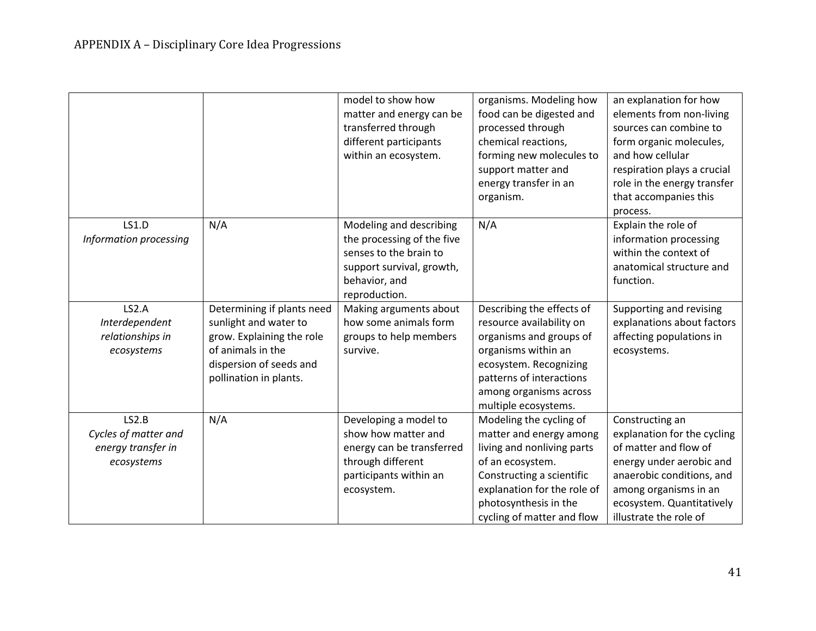| <b>LS1.D</b>                                                      | N/A                                                                                                                                                        | model to show how<br>matter and energy can be<br>transferred through<br>different participants<br>within an ecosystem.<br>Modeling and describing | organisms. Modeling how<br>food can be digested and<br>processed through<br>chemical reactions,<br>forming new molecules to<br>support matter and<br>energy transfer in an<br>organism.<br>N/A                          | an explanation for how<br>elements from non-living<br>sources can combine to<br>form organic molecules,<br>and how cellular<br>respiration plays a crucial<br>role in the energy transfer<br>that accompanies this<br>process.<br>Explain the role of |
|-------------------------------------------------------------------|------------------------------------------------------------------------------------------------------------------------------------------------------------|---------------------------------------------------------------------------------------------------------------------------------------------------|-------------------------------------------------------------------------------------------------------------------------------------------------------------------------------------------------------------------------|-------------------------------------------------------------------------------------------------------------------------------------------------------------------------------------------------------------------------------------------------------|
| Information processing                                            |                                                                                                                                                            | the processing of the five<br>senses to the brain to<br>support survival, growth,<br>behavior, and<br>reproduction.                               |                                                                                                                                                                                                                         | information processing<br>within the context of<br>anatomical structure and<br>function.                                                                                                                                                              |
| LS2.A<br>Interdependent<br>relationships in<br>ecosystems         | Determining if plants need<br>sunlight and water to<br>grow. Explaining the role<br>of animals in the<br>dispersion of seeds and<br>pollination in plants. | Making arguments about<br>how some animals form<br>groups to help members<br>survive.                                                             | Describing the effects of<br>resource availability on<br>organisms and groups of<br>organisms within an<br>ecosystem. Recognizing<br>patterns of interactions<br>among organisms across<br>multiple ecosystems.         | Supporting and revising<br>explanations about factors<br>affecting populations in<br>ecosystems.                                                                                                                                                      |
| LS2.B<br>Cycles of matter and<br>energy transfer in<br>ecosystems | N/A                                                                                                                                                        | Developing a model to<br>show how matter and<br>energy can be transferred<br>through different<br>participants within an<br>ecosystem.            | Modeling the cycling of<br>matter and energy among<br>living and nonliving parts<br>of an ecosystem.<br>Constructing a scientific<br>explanation for the role of<br>photosynthesis in the<br>cycling of matter and flow | Constructing an<br>explanation for the cycling<br>of matter and flow of<br>energy under aerobic and<br>anaerobic conditions, and<br>among organisms in an<br>ecosystem. Quantitatively<br>illustrate the role of                                      |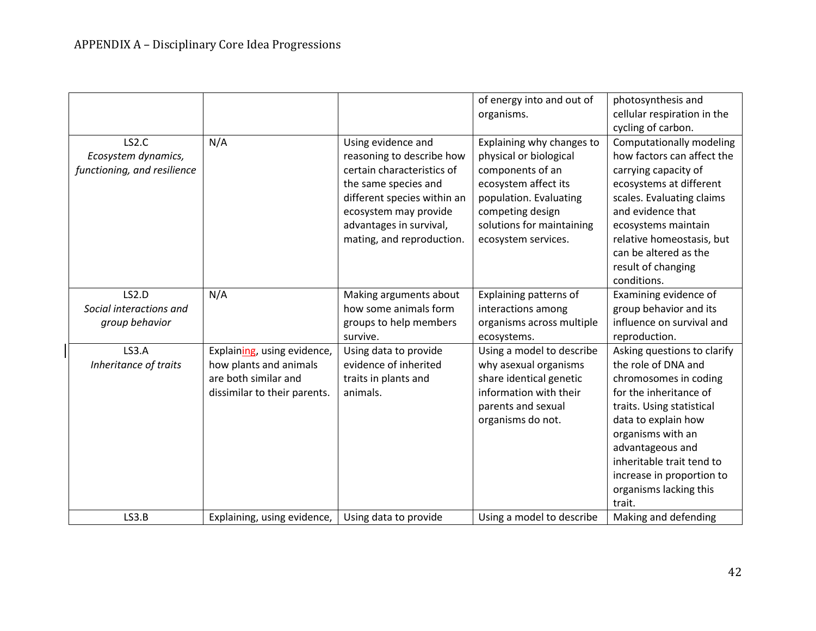|                             |                              |                             | of energy into and out of<br>organisms. | photosynthesis and<br>cellular respiration in the |
|-----------------------------|------------------------------|-----------------------------|-----------------------------------------|---------------------------------------------------|
|                             |                              |                             |                                         | cycling of carbon.                                |
| LS2.C                       | N/A                          | Using evidence and          | Explaining why changes to               | Computationally modeling                          |
| Ecosystem dynamics,         |                              | reasoning to describe how   | physical or biological                  | how factors can affect the                        |
| functioning, and resilience |                              | certain characteristics of  | components of an                        | carrying capacity of                              |
|                             |                              | the same species and        | ecosystem affect its                    | ecosystems at different                           |
|                             |                              | different species within an | population. Evaluating                  | scales. Evaluating claims                         |
|                             |                              | ecosystem may provide       | competing design                        | and evidence that                                 |
|                             |                              | advantages in survival,     | solutions for maintaining               | ecosystems maintain                               |
|                             |                              | mating, and reproduction.   | ecosystem services.                     | relative homeostasis, but                         |
|                             |                              |                             |                                         | can be altered as the                             |
|                             |                              |                             |                                         | result of changing                                |
|                             |                              |                             |                                         | conditions.                                       |
| LS2.D                       | N/A                          | Making arguments about      | Explaining patterns of                  | Examining evidence of                             |
| Social interactions and     |                              | how some animals form       | interactions among                      | group behavior and its                            |
| group behavior              |                              | groups to help members      | organisms across multiple               | influence on survival and                         |
|                             |                              | survive.                    | ecosystems.                             | reproduction.                                     |
| <b>LS3.A</b>                | Explaining, using evidence,  | Using data to provide       | Using a model to describe               | Asking questions to clarify                       |
| Inheritance of traits       | how plants and animals       | evidence of inherited       | why asexual organisms                   | the role of DNA and                               |
|                             | are both similar and         | traits in plants and        | share identical genetic                 | chromosomes in coding                             |
|                             | dissimilar to their parents. | animals.                    | information with their                  | for the inheritance of                            |
|                             |                              |                             | parents and sexual                      | traits. Using statistical                         |
|                             |                              |                             | organisms do not.                       | data to explain how                               |
|                             |                              |                             |                                         | organisms with an                                 |
|                             |                              |                             |                                         | advantageous and                                  |
|                             |                              |                             |                                         | inheritable trait tend to                         |
|                             |                              |                             |                                         | increase in proportion to                         |
|                             |                              |                             |                                         | organisms lacking this                            |
|                             |                              |                             |                                         | trait.                                            |
| LS3.B                       | Explaining, using evidence,  | Using data to provide       | Using a model to describe               | Making and defending                              |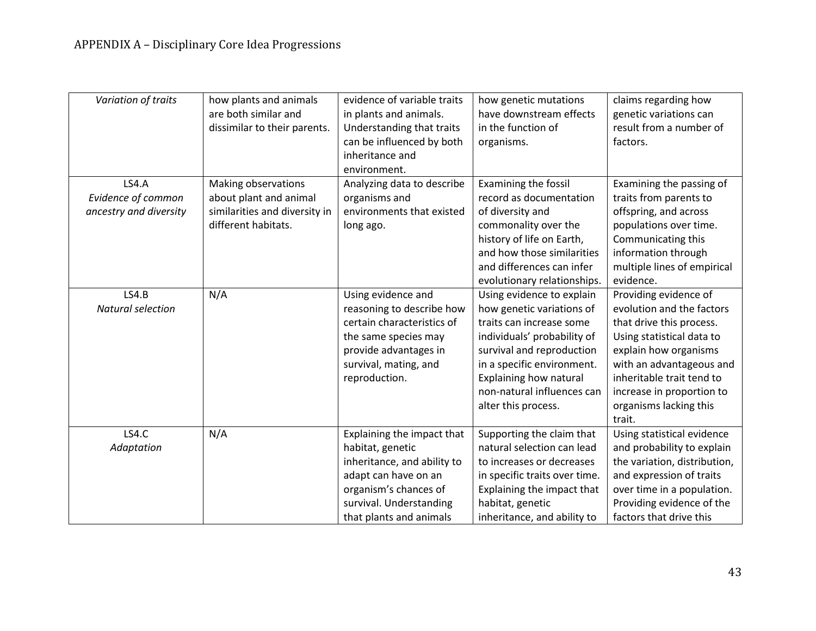| Variation of traits      | how plants and animals<br>are both similar and<br>dissimilar to their parents. | evidence of variable traits<br>in plants and animals.<br>Understanding that traits<br>can be influenced by both<br>inheritance and<br>environment. | how genetic mutations<br>have downstream effects<br>in the function of<br>organisms. | claims regarding how<br>genetic variations can<br>result from a number of<br>factors. |
|--------------------------|--------------------------------------------------------------------------------|----------------------------------------------------------------------------------------------------------------------------------------------------|--------------------------------------------------------------------------------------|---------------------------------------------------------------------------------------|
| LS4.A                    | Making observations                                                            | Analyzing data to describe                                                                                                                         | Examining the fossil                                                                 | Examining the passing of                                                              |
| Evidence of common       | about plant and animal                                                         | organisms and                                                                                                                                      | record as documentation                                                              | traits from parents to                                                                |
| ancestry and diversity   | similarities and diversity in                                                  | environments that existed                                                                                                                          | of diversity and                                                                     | offspring, and across                                                                 |
|                          | different habitats.                                                            | long ago.                                                                                                                                          | commonality over the                                                                 | populations over time.                                                                |
|                          |                                                                                |                                                                                                                                                    | history of life on Earth,                                                            | Communicating this                                                                    |
|                          |                                                                                |                                                                                                                                                    | and how those similarities                                                           | information through                                                                   |
|                          |                                                                                |                                                                                                                                                    | and differences can infer                                                            | multiple lines of empirical                                                           |
|                          |                                                                                |                                                                                                                                                    | evolutionary relationships.                                                          | evidence.                                                                             |
| LS4.B                    | N/A                                                                            | Using evidence and                                                                                                                                 | Using evidence to explain                                                            | Providing evidence of                                                                 |
| <b>Natural selection</b> |                                                                                | reasoning to describe how                                                                                                                          | how genetic variations of                                                            | evolution and the factors                                                             |
|                          |                                                                                | certain characteristics of                                                                                                                         | traits can increase some                                                             | that drive this process.                                                              |
|                          |                                                                                | the same species may                                                                                                                               | individuals' probability of                                                          | Using statistical data to                                                             |
|                          |                                                                                | provide advantages in                                                                                                                              | survival and reproduction                                                            | explain how organisms                                                                 |
|                          |                                                                                | survival, mating, and                                                                                                                              | in a specific environment.                                                           | with an advantageous and                                                              |
|                          |                                                                                | reproduction.                                                                                                                                      | <b>Explaining how natural</b>                                                        | inheritable trait tend to                                                             |
|                          |                                                                                |                                                                                                                                                    | non-natural influences can                                                           | increase in proportion to                                                             |
|                          |                                                                                |                                                                                                                                                    | alter this process.                                                                  | organisms lacking this                                                                |
|                          |                                                                                |                                                                                                                                                    |                                                                                      | trait.                                                                                |
| <b>LS4.C</b>             | N/A                                                                            | Explaining the impact that                                                                                                                         | Supporting the claim that                                                            | Using statistical evidence                                                            |
| Adaptation               |                                                                                | habitat, genetic                                                                                                                                   | natural selection can lead                                                           | and probability to explain                                                            |
|                          |                                                                                | inheritance, and ability to                                                                                                                        | to increases or decreases                                                            | the variation, distribution,                                                          |
|                          |                                                                                | adapt can have on an                                                                                                                               | in specific traits over time.                                                        | and expression of traits                                                              |
|                          |                                                                                | organism's chances of                                                                                                                              | Explaining the impact that                                                           | over time in a population.                                                            |
|                          |                                                                                | survival. Understanding                                                                                                                            | habitat, genetic                                                                     | Providing evidence of the                                                             |
|                          |                                                                                | that plants and animals                                                                                                                            | inheritance, and ability to                                                          | factors that drive this                                                               |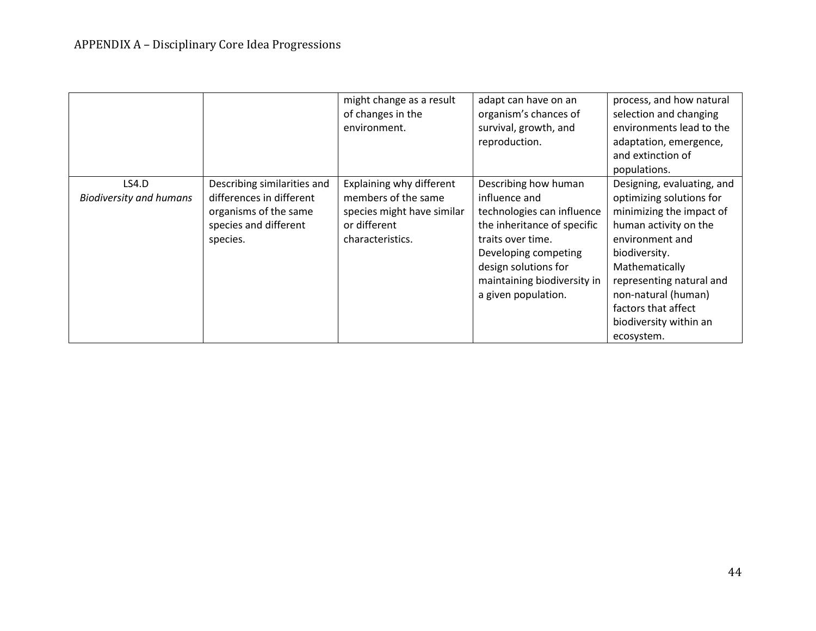|                                         |                                                                                                                       | might change as a result<br>of changes in the<br>environment.                                                     | adapt can have on an<br>organism's chances of<br>survival, growth, and<br>reproduction.                                                                                                                                       | process, and how natural<br>selection and changing<br>environments lead to the<br>adaptation, emergence,<br>and extinction of<br>populations.                                                                                                                                       |
|-----------------------------------------|-----------------------------------------------------------------------------------------------------------------------|-------------------------------------------------------------------------------------------------------------------|-------------------------------------------------------------------------------------------------------------------------------------------------------------------------------------------------------------------------------|-------------------------------------------------------------------------------------------------------------------------------------------------------------------------------------------------------------------------------------------------------------------------------------|
| LS4.D<br><b>Biodiversity and humans</b> | Describing similarities and<br>differences in different<br>organisms of the same<br>species and different<br>species. | Explaining why different<br>members of the same<br>species might have similar<br>or different<br>characteristics. | Describing how human<br>influence and<br>technologies can influence<br>the inheritance of specific<br>traits over time.<br>Developing competing<br>design solutions for<br>maintaining biodiversity in<br>a given population. | Designing, evaluating, and<br>optimizing solutions for<br>minimizing the impact of<br>human activity on the<br>environment and<br>biodiversity.<br>Mathematically<br>representing natural and<br>non-natural (human)<br>factors that affect<br>biodiversity within an<br>ecosystem. |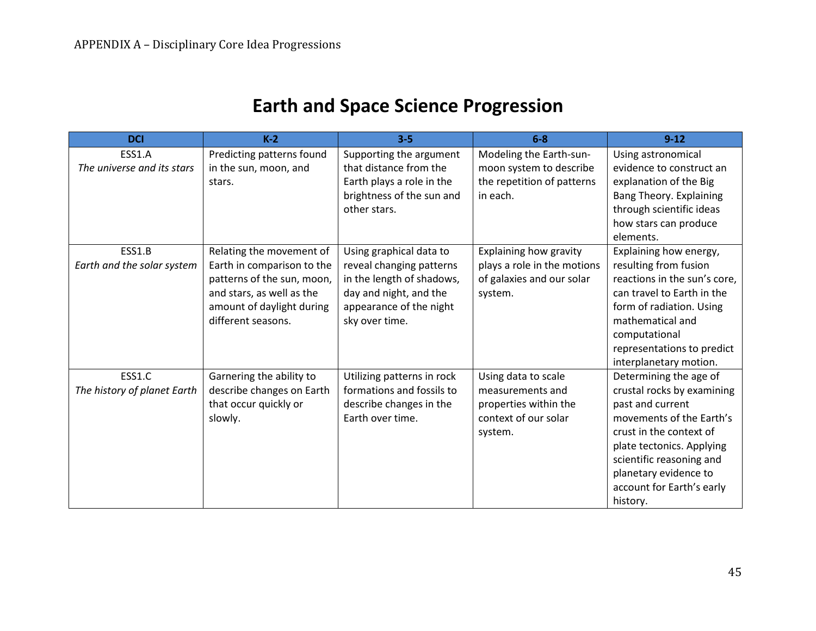## **Earth and Space Science Progression**

| <b>DCI</b>                            | $K-2$                                                                                                                                                                | $3 - 5$                                                                                                                                                 | $6-8$                                                                                               | $9 - 12$                                                                                                                                                                                                                                                   |
|---------------------------------------|----------------------------------------------------------------------------------------------------------------------------------------------------------------------|---------------------------------------------------------------------------------------------------------------------------------------------------------|-----------------------------------------------------------------------------------------------------|------------------------------------------------------------------------------------------------------------------------------------------------------------------------------------------------------------------------------------------------------------|
| ESS1.A<br>The universe and its stars  | Predicting patterns found<br>in the sun, moon, and<br>stars.                                                                                                         | Supporting the argument<br>that distance from the<br>Earth plays a role in the<br>brightness of the sun and<br>other stars.                             | Modeling the Earth-sun-<br>moon system to describe<br>the repetition of patterns<br>in each.        | Using astronomical<br>evidence to construct an<br>explanation of the Big<br>Bang Theory. Explaining<br>through scientific ideas<br>how stars can produce<br>elements.                                                                                      |
| ESS1.B<br>Earth and the solar system  | Relating the movement of<br>Earth in comparison to the<br>patterns of the sun, moon,<br>and stars, as well as the<br>amount of daylight during<br>different seasons. | Using graphical data to<br>reveal changing patterns<br>in the length of shadows,<br>day and night, and the<br>appearance of the night<br>sky over time. | Explaining how gravity<br>plays a role in the motions<br>of galaxies and our solar<br>system.       | Explaining how energy,<br>resulting from fusion<br>reactions in the sun's core,<br>can travel to Earth in the<br>form of radiation. Using<br>mathematical and<br>computational<br>representations to predict<br>interplanetary motion.                     |
| ESS1.C<br>The history of planet Earth | Garnering the ability to<br>describe changes on Earth<br>that occur quickly or<br>slowly.                                                                            | Utilizing patterns in rock<br>formations and fossils to<br>describe changes in the<br>Earth over time.                                                  | Using data to scale<br>measurements and<br>properties within the<br>context of our solar<br>system. | Determining the age of<br>crustal rocks by examining<br>past and current<br>movements of the Earth's<br>crust in the context of<br>plate tectonics. Applying<br>scientific reasoning and<br>planetary evidence to<br>account for Earth's early<br>history. |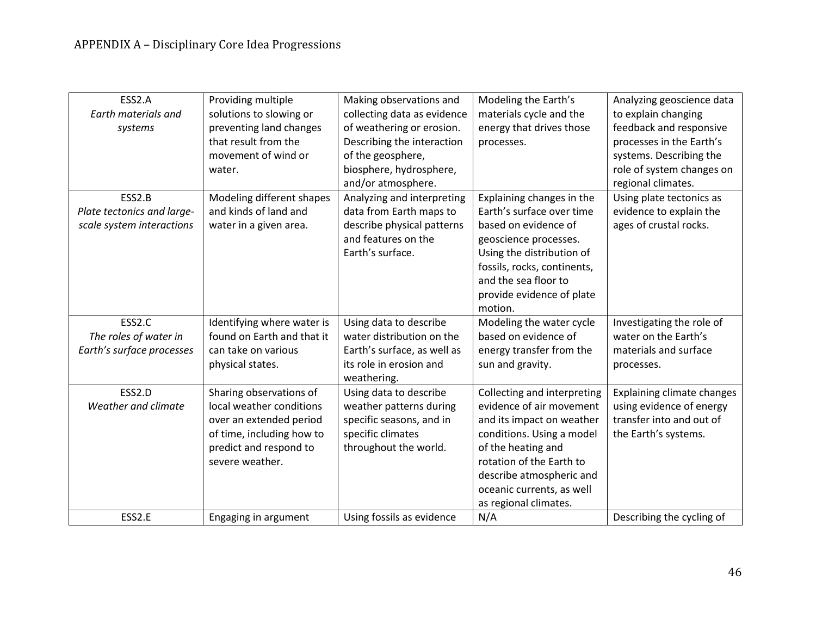| ESS2.A                     | Providing multiple         | Making observations and     | Modeling the Earth's        | Analyzing geoscience data  |
|----------------------------|----------------------------|-----------------------------|-----------------------------|----------------------------|
| Earth materials and        | solutions to slowing or    | collecting data as evidence | materials cycle and the     | to explain changing        |
| systems                    | preventing land changes    | of weathering or erosion.   | energy that drives those    | feedback and responsive    |
|                            | that result from the       | Describing the interaction  | processes.                  | processes in the Earth's   |
|                            | movement of wind or        | of the geosphere,           |                             | systems. Describing the    |
|                            | water.                     | biosphere, hydrosphere,     |                             | role of system changes on  |
|                            |                            | and/or atmosphere.          |                             | regional climates.         |
| ESS2.B                     | Modeling different shapes  | Analyzing and interpreting  | Explaining changes in the   | Using plate tectonics as   |
| Plate tectonics and large- | and kinds of land and      | data from Earth maps to     | Earth's surface over time   | evidence to explain the    |
| scale system interactions  | water in a given area.     | describe physical patterns  | based on evidence of        | ages of crustal rocks.     |
|                            |                            | and features on the         | geoscience processes.       |                            |
|                            |                            | Earth's surface.            | Using the distribution of   |                            |
|                            |                            |                             | fossils, rocks, continents, |                            |
|                            |                            |                             | and the sea floor to        |                            |
|                            |                            |                             | provide evidence of plate   |                            |
|                            |                            |                             | motion.                     |                            |
| ESS2.C                     | Identifying where water is | Using data to describe      | Modeling the water cycle    | Investigating the role of  |
| The roles of water in      | found on Earth and that it | water distribution on the   | based on evidence of        | water on the Earth's       |
| Earth's surface processes  | can take on various        | Earth's surface, as well as | energy transfer from the    | materials and surface      |
|                            | physical states.           | its role in erosion and     | sun and gravity.            | processes.                 |
|                            |                            | weathering.                 |                             |                            |
| ESS2.D                     | Sharing observations of    | Using data to describe      | Collecting and interpreting | Explaining climate changes |
| Weather and climate        | local weather conditions   | weather patterns during     | evidence of air movement    | using evidence of energy   |
|                            | over an extended period    | specific seasons, and in    | and its impact on weather   | transfer into and out of   |
|                            | of time, including how to  | specific climates           | conditions. Using a model   | the Earth's systems.       |
|                            | predict and respond to     | throughout the world.       | of the heating and          |                            |
|                            | severe weather.            |                             | rotation of the Earth to    |                            |
|                            |                            |                             | describe atmospheric and    |                            |
|                            |                            |                             | oceanic currents, as well   |                            |
|                            |                            |                             | as regional climates.       |                            |
| ESS2.E                     |                            | Using fossils as evidence   | N/A                         |                            |
|                            | Engaging in argument       |                             |                             | Describing the cycling of  |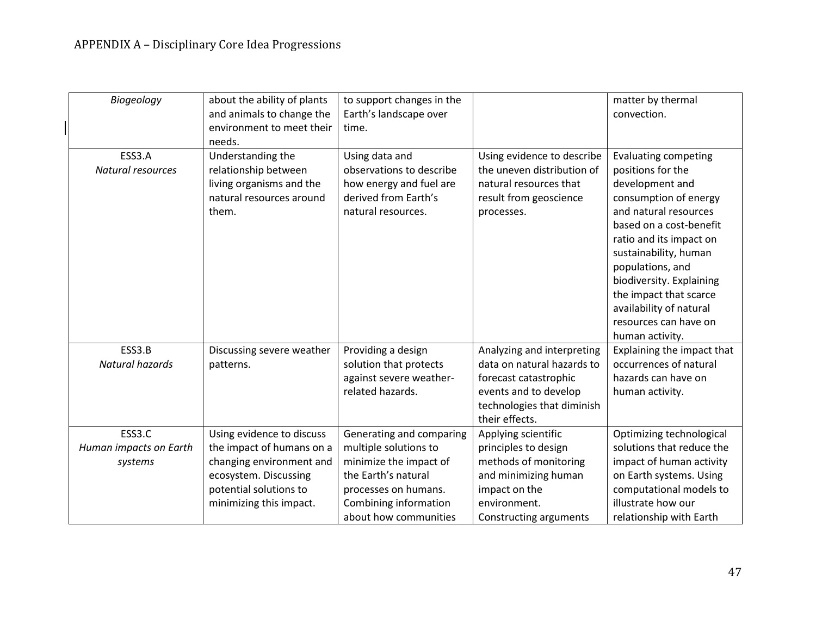| Biogeology                  | about the ability of plants<br>and animals to change the<br>environment to meet their<br>needs.            | to support changes in the<br>Earth's landscape over<br>time.                                                        |                                                                                                                            | matter by thermal<br>convection.                                                                                                                                                                                                                                                                                                                      |
|-----------------------------|------------------------------------------------------------------------------------------------------------|---------------------------------------------------------------------------------------------------------------------|----------------------------------------------------------------------------------------------------------------------------|-------------------------------------------------------------------------------------------------------------------------------------------------------------------------------------------------------------------------------------------------------------------------------------------------------------------------------------------------------|
| ESS3.A<br>Natural resources | Understanding the<br>relationship between<br>living organisms and the<br>natural resources around<br>them. | Using data and<br>observations to describe<br>how energy and fuel are<br>derived from Earth's<br>natural resources. | Using evidence to describe<br>the uneven distribution of<br>natural resources that<br>result from geoscience<br>processes. | <b>Evaluating competing</b><br>positions for the<br>development and<br>consumption of energy<br>and natural resources<br>based on a cost-benefit<br>ratio and its impact on<br>sustainability, human<br>populations, and<br>biodiversity. Explaining<br>the impact that scarce<br>availability of natural<br>resources can have on<br>human activity. |
| ESS3.B                      | Discussing severe weather                                                                                  | Providing a design                                                                                                  | Analyzing and interpreting                                                                                                 | Explaining the impact that                                                                                                                                                                                                                                                                                                                            |
| Natural hazards             | patterns.                                                                                                  | solution that protects                                                                                              | data on natural hazards to                                                                                                 | occurrences of natural                                                                                                                                                                                                                                                                                                                                |
|                             |                                                                                                            | against severe weather-                                                                                             | forecast catastrophic                                                                                                      | hazards can have on                                                                                                                                                                                                                                                                                                                                   |
|                             |                                                                                                            | related hazards.                                                                                                    | events and to develop                                                                                                      | human activity.                                                                                                                                                                                                                                                                                                                                       |
|                             |                                                                                                            |                                                                                                                     | technologies that diminish<br>their effects.                                                                               |                                                                                                                                                                                                                                                                                                                                                       |
| ESS3.C                      | Using evidence to discuss                                                                                  | Generating and comparing                                                                                            | Applying scientific                                                                                                        | Optimizing technological                                                                                                                                                                                                                                                                                                                              |
| Human impacts on Earth      | the impact of humans on a                                                                                  | multiple solutions to                                                                                               | principles to design                                                                                                       | solutions that reduce the                                                                                                                                                                                                                                                                                                                             |
| systems                     | changing environment and                                                                                   | minimize the impact of                                                                                              | methods of monitoring                                                                                                      | impact of human activity                                                                                                                                                                                                                                                                                                                              |
|                             | ecosystem. Discussing                                                                                      | the Earth's natural                                                                                                 | and minimizing human                                                                                                       | on Earth systems. Using                                                                                                                                                                                                                                                                                                                               |
|                             | potential solutions to                                                                                     | processes on humans.                                                                                                | impact on the                                                                                                              | computational models to                                                                                                                                                                                                                                                                                                                               |
|                             | minimizing this impact.                                                                                    | Combining information                                                                                               | environment.                                                                                                               | illustrate how our                                                                                                                                                                                                                                                                                                                                    |
|                             |                                                                                                            | about how communities                                                                                               | Constructing arguments                                                                                                     | relationship with Earth                                                                                                                                                                                                                                                                                                                               |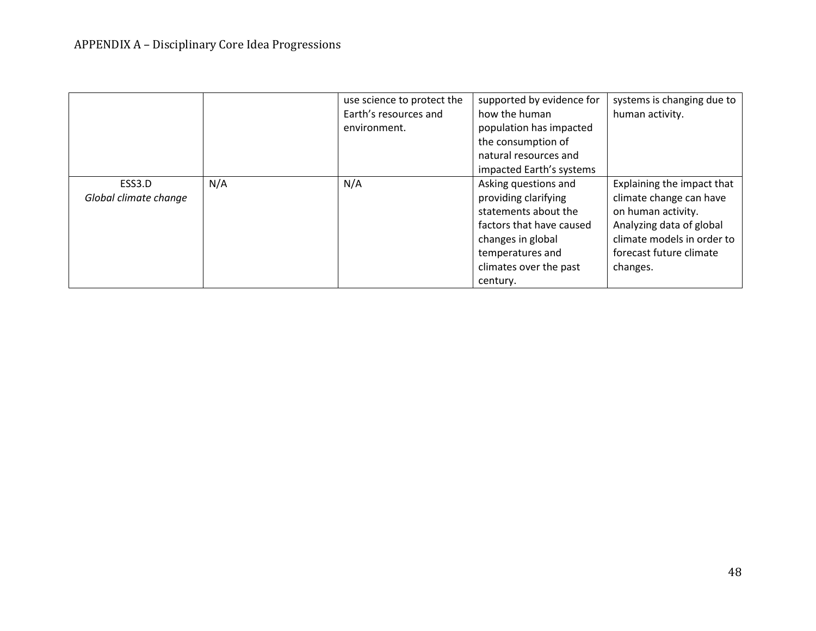|                       |     | use science to protect the | supported by evidence for | systems is changing due to |
|-----------------------|-----|----------------------------|---------------------------|----------------------------|
|                       |     | Earth's resources and      | how the human             | human activity.            |
|                       |     | environment.               | population has impacted   |                            |
|                       |     |                            | the consumption of        |                            |
|                       |     |                            | natural resources and     |                            |
|                       |     |                            | impacted Earth's systems  |                            |
| ESS3.D                | N/A | N/A                        | Asking questions and      | Explaining the impact that |
| Global climate change |     |                            | providing clarifying      | climate change can have    |
|                       |     |                            | statements about the      | on human activity.         |
|                       |     |                            | factors that have caused  | Analyzing data of global   |
|                       |     |                            | changes in global         | climate models in order to |
|                       |     |                            | temperatures and          | forecast future climate    |
|                       |     |                            | climates over the past    | changes.                   |
|                       |     |                            | century.                  |                            |